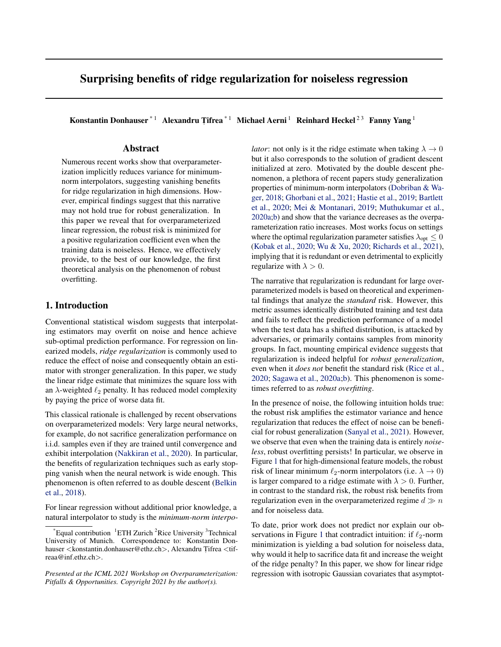# Surprising benefits of ridge regularization for noiseless regression

Konstantin Donhauser  $*1$  Alexandru Țifrea $*1$  Michael Aerni  $1$  Reinhard Heckel  $23$  Fanny Yang  $1$ 

# Abstract

Numerous recent works show that overparameterization implicitly reduces variance for minimumnorm interpolators, suggesting vanishing benefits for ridge regularization in high dimensions. However, empirical findings suggest that this narrative may not hold true for robust generalization. In this paper we reveal that for overparameterized linear regression, the robust risk is minimized for a positive regularization coefficient even when the training data is noiseless. Hence, we effectively provide, to the best of our knowledge, the first theoretical analysis on the phenomenon of robust overfitting.

# 1. Introduction

Conventional statistical wisdom suggests that interpolating estimators may overfit on noise and hence achieve sub-optimal prediction performance. For regression on linearized models, *ridge regularization* is commonly used to reduce the effect of noise and consequently obtain an estimator with stronger generalization. In this paper, we study the linear ridge estimate that minimizes the square loss with an  $\lambda$ -weighted  $\ell_2$  penalty. It has reduced model complexity by paying the price of worse data fit.

This classical rationale is challenged by recent observations on overparameterized models: Very large neural networks, for example, do not sacrifice generalization performance on i.i.d. samples even if they are trained until convergence and exhibit interpolation [\(Nakkiran et al.,](#page-4-0) [2020\)](#page-4-0). In particular, the benefits of regularization techniques such as early stopping vanish when the neural network is wide enough. This phenomenon is often referred to as double descent [\(Belkin](#page-4-0) [et al.,](#page-4-0) [2018\)](#page-4-0).

For linear regression without additional prior knowledge, a natural interpolator to study is the *minimum-norm interpo-* *lator*: not only is it the ridge estimate when taking  $\lambda \to 0$ but it also corresponds to the solution of gradient descent initialized at zero. Motivated by the double descent phenomenon, a plethora of recent papers study generalization properties of minimum-norm interpolators [\(Dobriban & Wa](#page-4-0)[ger,](#page-4-0) [2018;](#page-4-0) [Ghorbani et al.,](#page-4-0) [2021;](#page-4-0) [Hastie et al.,](#page-4-0) [2019;](#page-4-0) [Bartlett](#page-4-0) [et al.,](#page-4-0) [2020;](#page-4-0) [Mei & Montanari,](#page-4-0) [2019;](#page-4-0) [Muthukumar et al.,](#page-4-0) [2020a;b\)](#page-4-0) and show that the variance decreases as the overparameterization ratio increases. Most works focus on settings where the optimal regularization parameter satisfies  $\lambda_{opt} \leq 0$ [\(Kobak et al.,](#page-4-0) [2020;](#page-4-0) [Wu & Xu,](#page-5-0) [2020;](#page-5-0) [Richards et al.,](#page-4-0) [2021\)](#page-4-0), implying that it is redundant or even detrimental to explicitly regularize with  $\lambda > 0$ .

The narrative that regularization is redundant for large overparameterized models is based on theoretical and experimental findings that analyze the *standard* risk. However, this metric assumes identically distributed training and test data and fails to reflect the prediction performance of a model when the test data has a shifted distribution, is attacked by adversaries, or primarily contains samples from minority groups. In fact, mounting empirical evidence suggests that regularization is indeed helpful for *robust generalization*, even when it *does not* benefit the standard risk [\(Rice et al.,](#page-4-0) [2020;](#page-4-0) [Sagawa et al.,](#page-4-0) [2020a;b\)](#page-4-0). This phenomenon is sometimes referred to as *robust overfitting*.

In the presence of noise, the following intuition holds true: the robust risk amplifies the estimator variance and hence regularization that reduces the effect of noise can be beneficial for robust generalization [\(Sanyal et al.,](#page-5-0) [2021\)](#page-5-0). However, we observe that even when the training data is entirely *noiseless*, robust overfitting persists! In particular, we observe in Figure [1](#page-1-0) that for high-dimensional feature models, the robust risk of linear minimum  $\ell_2$ -norm interpolators (i.e.  $\lambda \to 0$ ) is larger compared to a ridge estimate with  $\lambda > 0$ . Further, in contrast to the standard risk, the robust risk benefits from regularization even in the overparameterized regime  $d \gg n$ and for noiseless data.

To date, prior work does not predict nor explain our ob-servations in Figure [1](#page-1-0) that contradict intuition: if  $\ell_2$ -norm minimization is yielding a bad solution for noiseless data, why would it help to sacrifice data fit and increase the weight of the ridge penalty? In this paper, we show for linear ridge regression with isotropic Gaussian covariates that asymptot-

Equal contribution  ${}^{1}ETH$  Zurich  ${}^{2}R$ ice University  ${}^{3}Technical$ University of Munich. Correspondence to: Konstantin Donhauser <konstantin.donhauser@ethz.ch>, Alexandru Tifrea <tifreaa@inf.ethz.ch>.

*Presented at the ICML 2021 Workshop on Overparameterization: Pitfalls & Opportunities. Copyright 2021 by the author(s).*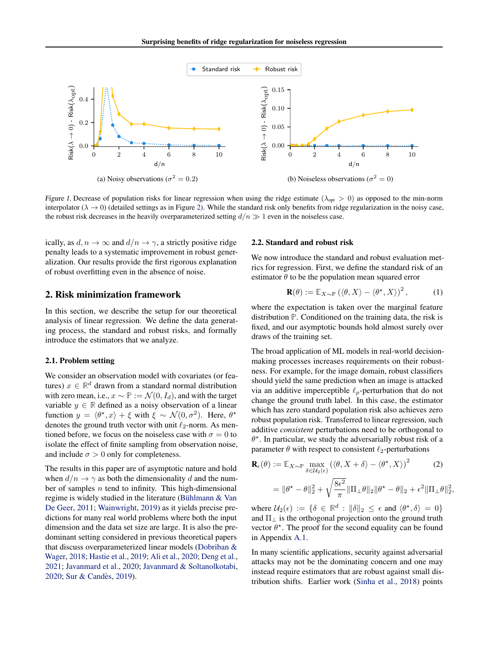<span id="page-1-0"></span>

Figure 1. Decrease of population risks for linear regression when using the ridge estimate ( $\lambda_{opt} > 0$ ) as opposed to the min-norm interpolator ( $\lambda \to 0$ ) (detailed settings as in Figure [2\)](#page-2-0). While the standard risk only benefits from ridge regularization in the noisy case, the robust risk decreases in the heavily overparameterized setting  $d/n \gg 1$  even in the noiseless case.

ically, as  $d, n \to \infty$  and  $d/n \to \gamma$ , a strictly positive ridge penalty leads to a systematic improvement in robust generalization. Our results provide the first rigorous explanation of robust overfitting even in the absence of noise.

## 2. Risk minimization framework

In this section, we describe the setup for our theoretical analysis of linear regression. We define the data generating process, the standard and robust risks, and formally introduce the estimators that we analyze.

### 2.1. Problem setting

We consider an observation model with covariates (or features)  $x \in \mathbb{R}^d$  drawn from a standard normal distribution with zero mean, i.e.,  $x \sim \mathbb{P} := \mathcal{N}(0, I_d)$ , and with the target variable  $y \in \mathbb{R}$  defined as a noisy observation of a linear function  $y = \langle \theta^*, x \rangle + \xi$  with  $\xi \sim \mathcal{N}(0, \sigma^2)$ . Here,  $\theta^*$ denotes the ground truth vector with unit  $\ell_2$ -norm. As mentioned before, we focus on the noiseless case with  $\sigma = 0$  to isolate the effect of finite sampling from observation noise, and include  $\sigma > 0$  only for completeness.

The results in this paper are of asymptotic nature and hold when  $d/n \to \gamma$  as both the dimensionality d and the number of samples  $n$  tend to infinity. This high-dimensional regime is widely studied in the literature (Bühlmann & Van [De Geer,](#page-4-0) [2011;](#page-4-0) [Wainwright,](#page-5-0) [2019\)](#page-5-0) as it yields precise predictions for many real world problems where both the input dimension and the data set size are large. It is also the predominant setting considered in previous theoretical papers that discuss overparameterized linear models [\(Dobriban &](#page-4-0) [Wager,](#page-4-0) [2018;](#page-4-0) [Hastie et al.,](#page-4-0) [2019;](#page-4-0) [Ali et al.,](#page-4-0) [2020;](#page-4-0) [Deng et al.,](#page-4-0) [2021;](#page-4-0) [Javanmard et al.,](#page-4-0) [2020;](#page-4-0) [Javanmard & Soltanolkotabi,](#page-4-0) [2020;](#page-4-0) Sur & Candès, [2019\)](#page-5-0).

### 2.2. Standard and robust risk

We now introduce the standard and robust evaluation metrics for regression. First, we define the standard risk of an estimator  $\theta$  to be the population mean squared error

$$
\mathbf{R}(\theta) := \mathbb{E}_{X \sim \mathbb{P}} (\langle \theta, X \rangle - \langle \theta^*, X \rangle)^2, \quad (1)
$$

where the expectation is taken over the marginal feature distribution **P**. Conditioned on the training data, the risk is fixed, and our asymptotic bounds hold almost surely over draws of the training set.

The broad application of ML models in real-world decisionmaking processes increases requirements on their robustness. For example, for the image domain, robust classifiers should yield the same prediction when an image is attacked via an additive imperceptible  $\ell_p$ -perturbation that do not change the ground truth label. In this case, the estimator which has zero standard population risk also achieves zero robust population risk. Transferred to linear regression, such additive *consistent* perturbations need to be orthogonal to  $\theta^*$ . In particular, we study the adversarially robust risk of a parameter  $\theta$  with respect to consistent  $\ell_2$ -perturbations

$$
\mathbf{R}_{\epsilon}(\theta) := \mathbb{E}_{X \sim \mathbb{P}} \max_{\delta \in \mathcal{U}_2(\epsilon)} (\langle \theta, X + \delta \rangle - \langle \theta^*, X \rangle)^2 \qquad (2)
$$

$$
= \|\theta^* - \theta\|_2^2 + \sqrt{\frac{8\epsilon^2}{\pi}} \|\Pi_{\perp}\theta\|_2 \|\theta^* - \theta\|_2 + \epsilon^2 \|\Pi_{\perp}\theta\|_2^2,
$$

where  $U_2(\epsilon) := \{ \delta \in \mathbb{R}^d : ||\delta||_2 \leq \epsilon \text{ and } \langle \theta^*, \delta \rangle = 0 \}$ and  $\Pi_{\perp}$  is the orthogonal projection onto the ground truth vector  $\theta^*$ . The proof for the second equality can be found in Appendix [A.1.](#page-6-0)

In many scientific applications, security against adversarial attacks may not be the dominating concern and one may instead require estimators that are robust against small distribution shifts. Earlier work [\(Sinha et al.,](#page-5-0) [2018\)](#page-5-0) points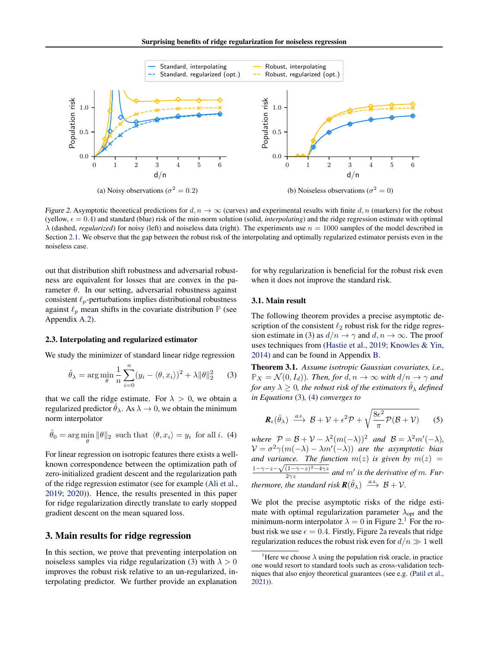<span id="page-2-0"></span>

Figure 2. Asymptotic theoretical predictions for  $d, n \to \infty$  (curves) and experimental results with finite d, n (markers) for the robust (yellow,  $\epsilon = 0.4$ ) and standard (blue) risk of the min-norm solution (solid, *interpolating*) and the ridge regression estimate with optimal  $\lambda$  (dashed, *regularized*) for noisy (left) and noiseless data (right). The experiments use  $n = 1000$  samples of the model described in Section [2.1.](#page-1-0) We observe that the gap between the robust risk of the interpolating and optimally regularized estimator persists even in the noiseless case.

out that distribution shift robustness and adversarial robustness are equivalent for losses that are convex in the parameter  $\theta$ . In our setting, adversarial robustness against consistent  $\ell_p$ -perturbations implies distributional robustness against  $\ell_p$  mean shifts in the covariate distribution  $\mathbb P$  (see Appendix [A.2\)](#page-6-0).

#### 2.3. Interpolating and regularized estimator

We study the minimizer of standard linear ridge regression

$$
\hat{\theta}_{\lambda} = \arg\min_{\theta} \frac{1}{n} \sum_{i=0}^{n} (y_i - \langle \theta, x_i \rangle)^2 + \lambda ||\theta||_2^2 \qquad (3)
$$

that we call the ridge estimate. For  $\lambda > 0$ , we obtain a regularized predictor  $\hat{\theta}_{\lambda}$ . As  $\lambda \to 0$ , we obtain the minimum norm interpolator

$$
\hat{\theta}_0 = \arg\min_{\theta} \|\theta\|_2 \text{ such that } \langle \theta, x_i \rangle = y_i \text{ for all } i. \tag{4}
$$

For linear regression on isotropic features there exists a wellknown correspondence between the optimization path of zero-initialized gradient descent and the regularization path of the ridge regression estimator (see for example [\(Ali et al.,](#page-4-0) [2019;](#page-4-0) [2020\)](#page-4-0)). Hence, the results presented in this paper for ridge regularization directly translate to early stopped gradient descent on the mean squared loss.

# 3. Main results for ridge regression

In this section, we prove that preventing interpolation on noiseless samples via ridge regularization (3) with  $\lambda > 0$ improves the robust risk relative to an un-regularized, interpolating predictor. We further provide an explanation

for why regularization is beneficial for the robust risk even when it does not improve the standard risk.

# 3.1. Main result

The following theorem provides a precise asymptotic description of the consistent  $\ell_2$  robust risk for the ridge regression estimate in (3) as  $d/n \rightarrow \gamma$  and  $d, n \rightarrow \infty$ . The proof uses techniques from [\(Hastie et al.,](#page-4-0) [2019;](#page-4-0) [Knowles & Yin,](#page-4-0) [2014\)](#page-4-0) and can be found in Appendix [B.](#page-7-0)

Theorem 3.1. *Assume isotropic Gaussian covariates, i.e.,*  $\mathbb{P}_X = \mathcal{N}(0, I_d)$ *). Then, for*  $d, n \to \infty$  *with*  $d/n \to \gamma$  *and for any*  $\lambda > 0$ *, the robust risk of the estimators*  $\hat{\theta}_{\lambda}$  *defined in Equations* (3)*,* (4) *converges to*

$$
\boldsymbol{R}_{\epsilon}(\hat{\theta}_{\lambda}) \stackrel{a.s.}{\longrightarrow} \mathcal{B} + \mathcal{V} + \epsilon^2 \mathcal{P} + \sqrt{\frac{8\epsilon^2}{\pi} \mathcal{P}(\mathcal{B} + \mathcal{V})}
$$
(5)

*where*  $P = B + V - \lambda^2 (m(-\lambda))^2$  *and*  $B = \lambda^2 m'(-\lambda)$ *,*  $V = \sigma^2 \gamma(m(-\lambda) - \lambda m'(-\lambda))$  *are the asymptotic bias and variance. The function*  $m(z)$  *is given by*  $m(z)$  =  $\frac{1-\gamma-z-\sqrt{(1-\gamma-z)^2-4\gamma z}}{2\gamma z}$  and m' is the derivative of m. Fur*thermore, the standard risk*  $\mathbf{R}(\hat{\theta}_{\lambda}) \stackrel{a.s.}{\longrightarrow} \mathcal{B} + \mathcal{V}$ .

We plot the precise asymptotic risks of the ridge estimate with optimal regularization parameter  $\lambda_{opt}$  and the minimum-norm interpolator  $\lambda = 0$  in Figure 2.<sup>1</sup> For the robust risk we use  $\epsilon = 0.4$ . Firstly, Figure 2a reveals that ridge regularization reduces the robust risk even for  $d/n \gg 1$  well

<sup>&</sup>lt;sup>1</sup>Here we choose  $\lambda$  using the population risk oracle, in practice one would resort to standard tools such as cross-validation techniques that also enjoy theoretical guarantees (see e.g. [\(Patil et al.,](#page-4-0) [2021\)](#page-4-0)).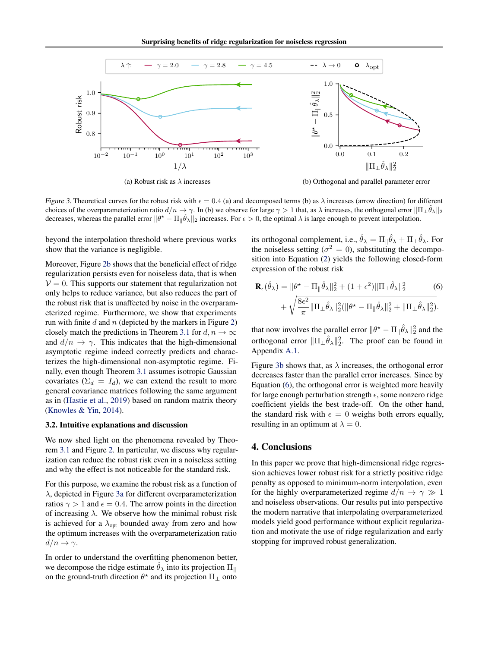

(a) Robust risk as  $\lambda$  increases

(b) Orthogonal and parallel parameter error

Figure 3. Theoretical curves for the robust risk with  $\epsilon = 0.4$  (a) and decomposed terms (b) as  $\lambda$  increases (arrow direction) for different choices of the overparameterization ratio  $d/n \to \gamma$ . In (b) we observe for large  $\gamma > 1$  that, as  $\lambda$  increases, the orthogonal error  $\|\Pi_{\perp} \hat{\theta}_{\lambda}\|_2$ decreases, whereas the parallel error  $\|\theta^* - \Pi_{\parallel} \hat{\theta}_{\lambda}\|_2$  increases. For  $\epsilon > 0$ , the optimal  $\lambda$  is large enough to prevent interpolation.

beyond the interpolation threshold where previous works show that the variance is negligible.

Moreover, Figure [2b](#page-2-0) shows that the beneficial effect of ridge regularization persists even for noiseless data, that is when  $V = 0$ . This supports our statement that regularization not only helps to reduce variance, but also reduces the part of the robust risk that is unaffected by noise in the overparameterized regime. Furthermore, we show that experiments run with finite  $d$  and  $n$  (depicted by the markers in Figure [2\)](#page-2-0) closely match the predictions in Theorem [3.1](#page-2-0) for  $d, n \to \infty$ and  $d/n \to \gamma$ . This indicates that the high-dimensional asymptotic regime indeed correctly predicts and characterizes the high-dimensional non-asymptotic regime. Finally, even though Theorem [3.1](#page-2-0) assumes isotropic Gaussian covariates ( $\Sigma_d = I_d$ ), we can extend the result to more general covariance matrices following the same argument as in [\(Hastie et al.,](#page-4-0) [2019\)](#page-4-0) based on random matrix theory [\(Knowles & Yin,](#page-4-0) [2014\)](#page-4-0).

### 3.2. Intuitive explanations and discussion

We now shed light on the phenomena revealed by Theorem [3.1](#page-2-0) and Figure [2.](#page-2-0) In particular, we discuss why regularization can reduce the robust risk even in a noiseless setting and why the effect is not noticeable for the standard risk.

For this purpose, we examine the robust risk as a function of λ, depicted in Figure 3a for different overparameterization ratios  $\gamma > 1$  and  $\epsilon = 0.4$ . The arrow points in the direction of increasing  $\lambda$ . We observe how the minimal robust risk is achieved for a  $\lambda_{\text{opt}}$  bounded away from zero and how the optimum increases with the overparameterization ratio  $d/n \rightarrow \gamma$ .

In order to understand the overfitting phenomenon better, we decompose the ridge estimate  $\hat{\theta}_{\lambda}$  into its projection  $\Pi_{\parallel}$ on the ground-truth direction  $\theta^*$  and its projection  $\Pi_{\perp}$  onto

its orthogonal complement, i.e.,  $\hat{\theta}_{\lambda} = \Pi_{\parallel} \hat{\theta}_{\lambda} + \Pi_{\perp} \hat{\theta}_{\lambda}$ . For the noiseless setting ( $\sigma^2 = 0$ ), substituting the decomposition into Equation [\(2\)](#page-1-0) yields the following closed-form expression of the robust risk

$$
\mathbf{R}_{\epsilon}(\hat{\theta}_{\lambda}) = \|\theta^* - \Pi_{\parallel}\hat{\theta}_{\lambda}\|_{2}^{2} + (1 + \epsilon^2)\|\Pi_{\perp}\hat{\theta}_{\lambda}\|_{2}^{2}
$$
(6)  
+  $\sqrt{\frac{8\epsilon^2}{\pi}}\|\Pi_{\perp}\hat{\theta}_{\lambda}\|_{2}^{2}(\|\theta^* - \Pi_{\parallel}\hat{\theta}_{\lambda}\|_{2}^{2} + \|\Pi_{\perp}\hat{\theta}_{\lambda}\|_{2}^{2}).$ 

that now involves the parallel error  $\|\theta^* - \Pi_{\parallel} \hat{\theta}_{\lambda}\|_2^2$  and the orthogonal error  $\|\Pi_{\perp}\hat{\theta}_{\lambda}\|_{2}^{2}$ . The proof can be found in Appendix [A.1.](#page-6-0)

Figure 3b shows that, as  $\lambda$  increases, the orthogonal error decreases faster than the parallel error increases. Since by Equation (6), the orthogonal error is weighted more heavily for large enough perturbation strength  $\epsilon$ , some nonzero ridge coefficient yields the best trade-off. On the other hand, the standard risk with  $\epsilon = 0$  weighs both errors equally, resulting in an optimum at  $\lambda = 0$ .

# 4. Conclusions

In this paper we prove that high-dimensional ridge regression achieves lower robust risk for a strictly positive ridge penalty as opposed to minimum-norm interpolation, even for the highly overparameterized regime  $d/n \to \gamma \gg 1$ and noiseless observations. Our results put into perspective the modern narrative that interpolating overparameterized models yield good performance without explicit regularization and motivate the use of ridge regularization and early stopping for improved robust generalization.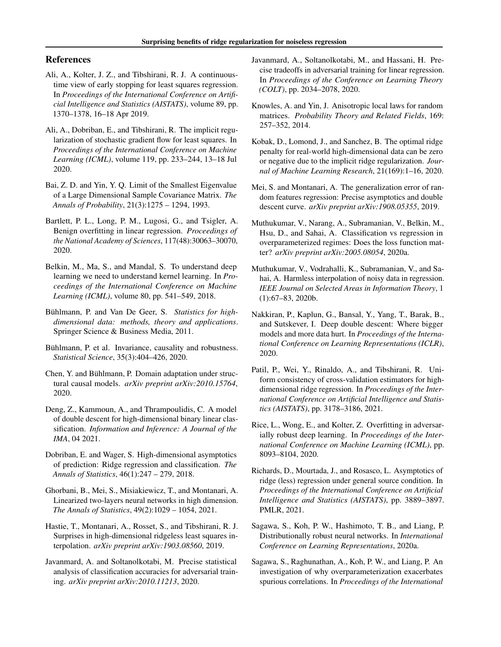# <span id="page-4-0"></span>References

- Ali, A., Kolter, J. Z., and Tibshirani, R. J. A continuoustime view of early stopping for least squares regression. In *Proceedings of the International Conference on Artificial Intelligence and Statistics (AISTATS)*, volume 89, pp. 1370–1378, 16–18 Apr 2019.
- Ali, A., Dobriban, E., and Tibshirani, R. The implicit regularization of stochastic gradient flow for least squares. In *Proceedings of the International Conference on Machine Learning (ICML)*, volume 119, pp. 233–244, 13–18 Jul 2020.
- Bai, Z. D. and Yin, Y. Q. Limit of the Smallest Eigenvalue of a Large Dimensional Sample Covariance Matrix. *The Annals of Probability*, 21(3):1275 – 1294, 1993.
- Bartlett, P. L., Long, P. M., Lugosi, G., and Tsigler, A. Benign overfitting in linear regression. *Proceedings of the National Academy of Sciences*, 117(48):30063–30070, 2020.
- Belkin, M., Ma, S., and Mandal, S. To understand deep learning we need to understand kernel learning. In *Proceedings of the International Conference on Machine Learning (ICML)*, volume 80, pp. 541–549, 2018.
- Bühlmann, P. and Van De Geer, S. *Statistics for highdimensional data: methods, theory and applications*. Springer Science & Business Media, 2011.
- Bühlmann, P. et al. Invariance, causality and robustness. *Statistical Science*, 35(3):404–426, 2020.
- Chen, Y. and Bühlmann, P. Domain adaptation under structural causal models. *arXiv preprint arXiv:2010.15764*, 2020.
- Deng, Z., Kammoun, A., and Thrampoulidis, C. A model of double descent for high-dimensional binary linear classification. *Information and Inference: A Journal of the IMA*, 04 2021.
- Dobriban, E. and Wager, S. High-dimensional asymptotics of prediction: Ridge regression and classification. *The Annals of Statistics*, 46(1):247 – 279, 2018.
- Ghorbani, B., Mei, S., Misiakiewicz, T., and Montanari, A. Linearized two-layers neural networks in high dimension. *The Annals of Statistics*, 49(2):1029 – 1054, 2021.
- Hastie, T., Montanari, A., Rosset, S., and Tibshirani, R. J. Surprises in high-dimensional ridgeless least squares interpolation. *arXiv preprint arXiv:1903.08560*, 2019.
- Javanmard, A. and Soltanolkotabi, M. Precise statistical analysis of classification accuracies for adversarial training. *arXiv preprint arXiv:2010.11213*, 2020.
- Javanmard, A., Soltanolkotabi, M., and Hassani, H. Precise tradeoffs in adversarial training for linear regression. In *Proceedings of the Conference on Learning Theory (COLT)*, pp. 2034–2078, 2020.
- Knowles, A. and Yin, J. Anisotropic local laws for random matrices. *Probability Theory and Related Fields*, 169: 257–352, 2014.
- Kobak, D., Lomond, J., and Sanchez, B. The optimal ridge penalty for real-world high-dimensional data can be zero or negative due to the implicit ridge regularization. *Journal of Machine Learning Research*, 21(169):1–16, 2020.
- Mei, S. and Montanari, A. The generalization error of random features regression: Precise asymptotics and double descent curve. *arXiv preprint arXiv:1908.05355*, 2019.
- Muthukumar, V., Narang, A., Subramanian, V., Belkin, M., Hsu, D., and Sahai, A. Classification vs regression in overparameterized regimes: Does the loss function matter? *arXiv preprint arXiv:2005.08054*, 2020a.
- Muthukumar, V., Vodrahalli, K., Subramanian, V., and Sahai, A. Harmless interpolation of noisy data in regression. *IEEE Journal on Selected Areas in Information Theory*, 1 (1):67–83, 2020b.
- Nakkiran, P., Kaplun, G., Bansal, Y., Yang, T., Barak, B., and Sutskever, I. Deep double descent: Where bigger models and more data hurt. In *Proceedings of the International Conference on Learning Representations (ICLR)*, 2020.
- Patil, P., Wei, Y., Rinaldo, A., and Tibshirani, R. Uniform consistency of cross-validation estimators for highdimensional ridge regression. In *Proceedings of the International Conference on Artificial Intelligence and Statistics (AISTATS)*, pp. 3178–3186, 2021.
- Rice, L., Wong, E., and Kolter, Z. Overfitting in adversarially robust deep learning. In *Proceedings of the International Conference on Machine Learning (ICML)*, pp. 8093–8104, 2020.
- Richards, D., Mourtada, J., and Rosasco, L. Asymptotics of ridge (less) regression under general source condition. In *Proceedings of the International Conference on Artificial Intelligence and Statistics (AISTATS)*, pp. 3889–3897. PMLR, 2021.
- Sagawa, S., Koh, P. W., Hashimoto, T. B., and Liang, P. Distributionally robust neural networks. In *International Conference on Learning Representations*, 2020a.
- Sagawa, S., Raghunathan, A., Koh, P. W., and Liang, P. An investigation of why overparameterization exacerbates spurious correlations. In *Proceedings of the International*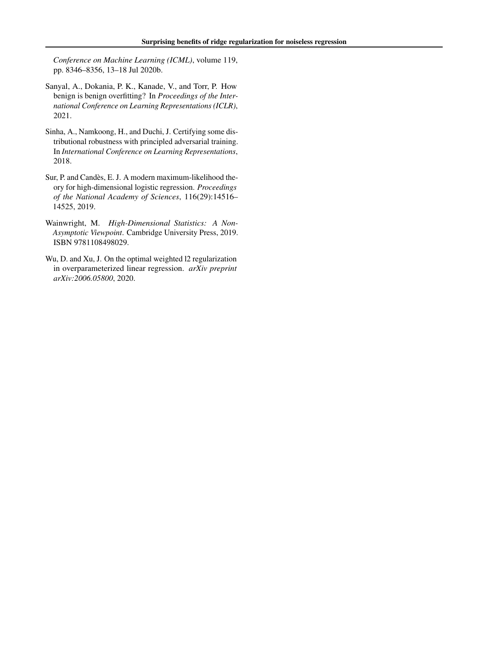<span id="page-5-0"></span>*Conference on Machine Learning (ICML)*, volume 119, pp. 8346–8356, 13–18 Jul 2020b.

- Sanyal, A., Dokania, P. K., Kanade, V., and Torr, P. How benign is benign overfitting? In *Proceedings of the International Conference on Learning Representations (ICLR)*, 2021.
- Sinha, A., Namkoong, H., and Duchi, J. Certifying some distributional robustness with principled adversarial training. In *International Conference on Learning Representations*, 2018.
- Sur, P. and Candès, E. J. A modern maximum-likelihood theory for high-dimensional logistic regression. *Proceedings of the National Academy of Sciences*, 116(29):14516– 14525, 2019.
- Wainwright, M. *High-Dimensional Statistics: A Non-Asymptotic Viewpoint*. Cambridge University Press, 2019. ISBN 9781108498029.
- Wu, D. and Xu, J. On the optimal weighted l2 regularization in overparameterized linear regression. *arXiv preprint arXiv:2006.05800*, 2020.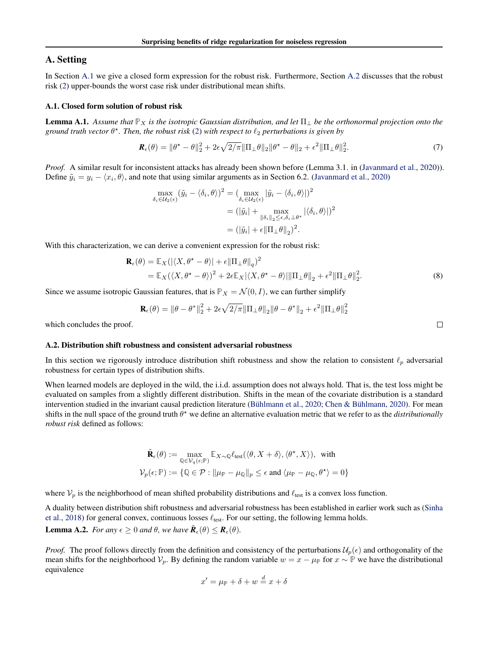# <span id="page-6-0"></span>A. Setting

In Section A.1 we give a closed form expression for the robust risk. Furthermore, Section A.2 discusses that the robust risk [\(2\)](#page-1-0) upper-bounds the worst case risk under distributional mean shifts.

#### A.1. Closed form solution of robust risk

**Lemma A.1.** Assume that  $\mathbb{P}_X$  is the isotropic Gaussian distribution, and let  $\Pi_{\perp}$  be the orthonormal projection onto the *ground truth vector*  $\theta^*$ . Then, the robust risk [\(2\)](#page-1-0) with respect to  $\ell_2$  perturbations is given by

$$
\mathbf{R}_{\epsilon}(\theta) = \|\theta^* - \theta\|_2^2 + 2\epsilon\sqrt{2/\pi} \|\Pi_{\perp}\theta\|_2 \|\theta^* - \theta\|_2 + \epsilon^2 \|\Pi_{\perp}\theta\|_2^2.
$$
 (7)

*Proof.* A similar result for inconsistent attacks has already been shown before (Lemma 3.1. in [\(Javanmard et al.,](#page-4-0) [2020\)](#page-4-0)). Define  $\tilde{y}_i = y_i - \langle x_i, \theta \rangle$ , and note that using similar arguments as in Section 6.2. [\(Javanmard et al.,](#page-4-0) [2020\)](#page-4-0)

$$
\max_{\delta_i \in \mathcal{U}_2(\epsilon)} (\tilde{y}_i - \langle \delta_i, \theta \rangle)^2 = (\max_{\delta_i \in \mathcal{U}_2(\epsilon)} |\tilde{y}_i - \langle \delta_i, \theta \rangle|)^2
$$

$$
= (|\tilde{y}_i| + \max_{\|\delta_i\|_2 \le \epsilon, \delta_i \perp \theta^*} |\langle \delta_i, \theta \rangle|)^2
$$

$$
= (|\tilde{y}_i| + \epsilon \|\Pi_\perp \theta\|_2)^2.
$$

With this characterization, we can derive a convenient expression for the robust risk:

$$
\mathbf{R}_{\epsilon}(\theta) = \mathbb{E}_{X}(|\langle X, \theta^{*} - \theta \rangle| + \epsilon ||\Pi_{\perp}\theta||_{q})^{2}
$$
  
=  $\mathbb{E}_{X}(\langle X, \theta^{*} - \theta \rangle)^{2} + 2\epsilon \mathbb{E}_{X}|\langle X, \theta^{*} - \theta \rangle| ||\Pi_{\perp}\theta||_{2} + \epsilon^{2} ||\Pi_{\perp}\theta||_{2}^{2}.$  (8)

 $\Box$ 

Since we assume isotropic Gaussian features, that is  $\mathbb{P}_X = \mathcal{N}(0, I)$ , we can further simplify

$$
\mathbf{R}_{\epsilon}(\theta) = \left\|\theta - \theta^*\right\|_2^2 + 2\epsilon\sqrt{2/\pi} \|\Pi_{\perp}\theta\|_2 \|\theta - \theta^*\|_2 + \epsilon^2 \|\Pi_{\perp}\theta\|_2^2
$$

which concludes the proof.

## A.2. Distribution shift robustness and consistent adversarial robustness

In this section we rigorously introduce distribution shift robustness and show the relation to consistent  $\ell_p$  adversarial robustness for certain types of distribution shifts.

When learned models are deployed in the wild, the i.i.d. assumption does not always hold. That is, the test loss might be evaluated on samples from a slightly different distribution. Shifts in the mean of the covariate distribution is a standard intervention studied in the invariant causal prediction literature (Bühlmann et al., [2020;](#page-4-0) Chen & Bühlmann, [2020\)](#page-4-0). For mean shifts in the null space of the ground truth  $\theta^*$  we define an alternative evaluation metric that we refer to as the *distributionally robust risk* defined as follows:

$$
\tilde{\mathbf{R}}_{\epsilon}(\theta) := \max_{\mathbb{Q} \in \mathcal{V}_q(\epsilon; \mathbb{P})} \mathbb{E}_{X \sim \mathbb{Q}} \ell_{\text{test}}(\langle \theta, X + \delta \rangle, \langle \theta^*, X \rangle), \text{ with}
$$
\n
$$
\mathcal{V}_p(\epsilon; \mathbb{P}) := \{ \mathbb{Q} \in \mathcal{P} : ||\mu_{\mathbb{P}} - \mu_{\mathbb{Q}}||_p \le \epsilon \text{ and } \langle \mu_{\mathbb{P}} - \mu_{\mathbb{Q}}, \theta^* \rangle = 0 \}
$$

where  $V_p$  is the neighborhood of mean shifted probability distributions and  $\ell_{\text{test}}$  is a convex loss function.

A duality between distribution shift robustness and adversarial robustness has been established in earlier work such as [\(Sinha](#page-5-0) [et al.,](#page-5-0) [2018\)](#page-5-0) for general convex, continuous losses  $\ell_{\text{test}}$ . For our setting, the following lemma holds.

**Lemma A.2.** *For any*  $\epsilon \geq 0$  *and*  $\theta$ *, we have*  $\tilde{\mathbf{R}}_{\epsilon}(\theta) \leq \mathbf{R}_{\epsilon}(\theta)$ *.* 

*Proof.* The proof follows directly from the definition and consistency of the perturbations  $\mathcal{U}_p(\epsilon)$  and orthogonality of the mean shifts for the neighborhood  $V_p$ . By defining the random variable  $w = x - \mu_{\mathbb{P}}$  for  $x \sim \mathbb{P}$  we have the distributional equivalence

$$
x' = \mu_{\mathbb{P}} + \delta + w \stackrel{d}{=} x + \delta
$$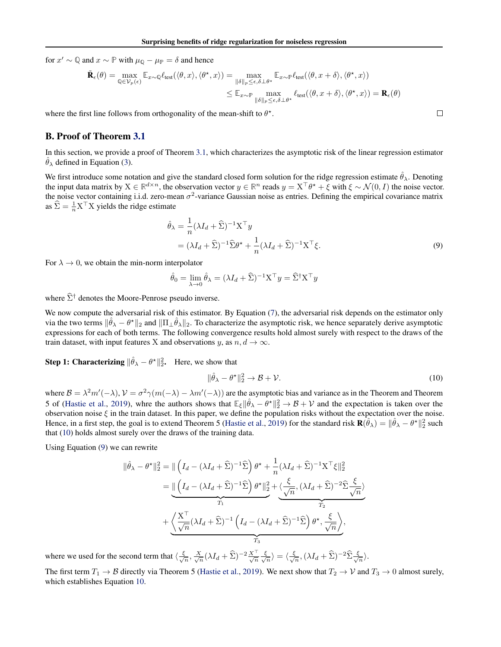<span id="page-7-0"></span>for  $x' \sim \mathbb{Q}$  and  $x \sim \mathbb{P}$  with  $\mu_{\mathbb{Q}} - \mu_{\mathbb{P}} = \delta$  and hence

$$
\tilde{\mathbf{R}}_{\epsilon}(\theta) = \max_{\mathbb{Q} \in \mathcal{V}_p(\epsilon)} \mathbb{E}_{x \sim \mathbb{Q}} \ell_{\text{test}}(\langle \theta, x \rangle, \langle \theta^\star, x \rangle) = \max_{\|\delta\|_p \le \epsilon, \delta \perp \theta^\star} \mathbb{E}_{x \sim \mathbb{P}} \ell_{\text{test}}(\langle \theta, x + \delta \rangle, \langle \theta^\star, x \rangle)
$$
\n
$$
\le \mathbb{E}_{x \sim \mathbb{P}} \max_{\|\delta\|_p \le \epsilon, \delta \perp \theta^\star} \ell_{\text{test}}(\langle \theta, x + \delta \rangle, \langle \theta^\star, x \rangle) = \mathbf{R}_{\epsilon}(\theta)
$$

where the first line follows from orthogonality of the mean-shift to  $\theta^*$ .

### B. Proof of Theorem [3.1](#page-2-0)

In this section, we provide a proof of Theorem [3.1,](#page-2-0) which characterizes the asymptotic risk of the linear regression estimator  $\hat{\theta}_{\lambda}$  defined in Equation [\(3\)](#page-2-0).

We first introduce some notation and give the standard closed form solution for the ridge regression estimate  $\hat{\theta}_\lambda$ . Denoting the input data matrix by  $X \in \mathbb{R}^{d \times n}$ , the observation vector  $y \in \mathbb{R}^n$  reads  $y = X^\top \theta^* + \xi$  with  $\xi \sim \mathcal{N}(0, I)$  the noise vector. the noise vector containing i.i.d. zero-mean  $\sigma^2$ -variance Gaussian noise as entries. Defining the empirical covariance matrix as  $\hat{\Sigma} = \frac{1}{n} \mathbf{X}^\top \mathbf{X}$  yields the ridge estimate

$$
\hat{\theta}_{\lambda} = \frac{1}{n} (\lambda I_d + \hat{\Sigma})^{-1} \mathbf{X}^{\top} \mathbf{y}
$$
  
=  $(\lambda I_d + \hat{\Sigma})^{-1} \hat{\Sigma} \theta^{\star} + \frac{1}{n} (\lambda I_d + \hat{\Sigma})^{-1} \mathbf{X}^{\top} \xi.$  (9)

 $\Box$ 

For  $\lambda \to 0$ , we obtain the min-norm interpolator

$$
\hat{\theta}_0 = \lim_{\lambda \to 0} \hat{\theta}_{\lambda} = (\lambda I_d + \hat{\Sigma})^{-1} \mathbf{X}^{\top} y = \hat{\Sigma}^{\dagger} \mathbf{X}^{\top} y
$$

where  $\hat{\Sigma}^{\dagger}$  denotes the Moore-Penrose pseudo inverse.

We now compute the adversarial risk of this estimator. By Equation [\(7\)](#page-6-0), the adversarial risk depends on the estimator only via the two terms  $\|\hat{\theta}_{\lambda} - \theta^{\star}\|_2$  and  $\|\Pi_{\perp} \hat{\theta}_{\lambda}\|_2$ . To characterize the asymptotic risk, we hence separately derive asymptotic expressions for each of both terms. The following convergence results hold almost surely with respect to the draws of the train dataset, with input features X and observations y, as  $n, d \rightarrow \infty$ .

**Step 1: Characterizing**  $\|\hat{\theta}_{\lambda} - \theta^{\star}\|_2^2$ . Here, we show that

$$
\|\hat{\theta}_{\lambda} - \theta^{\star}\|_{2}^{2} \to \mathcal{B} + \mathcal{V}.\tag{10}
$$

where  $B = \lambda^2 m'(-\lambda)$ ,  $V = \sigma^2 \gamma (m(-\lambda) - \lambda m'(-\lambda))$  are the asymptotic bias and variance as in the Theorem and Theorem 5 of [\(Hastie et al.,](#page-4-0) [2019\)](#page-4-0), whre the authors shows that  $\mathbb{E}_{\xi} || \hat{\theta}_{\lambda} - \theta^{\star} ||_2^2 \to \mathcal{B} + \mathcal{V}$  and the expectation is taken over the observation noise  $\xi$  in the train dataset. In this paper, we define the population risks without the expectation over the noise. Hence, in a first step, the goal is to extend Theorem 5 [\(Hastie et al.,](#page-4-0) [2019\)](#page-4-0) for the standard risk  $\mathbf{R}(\hat{\theta}_\lambda) = \|\hat{\theta}_\lambda - \theta^\star\|_2^2$  such that (10) holds almost surely over the draws of the training data.

Using Equation (9) we can rewrite

$$
\|\hat{\theta}_{\lambda} - \theta^{\star}\|_{2}^{2} = \|\left(I_{d} - (\lambda I_{d} + \hat{\Sigma})^{-1}\hat{\Sigma}\right)\theta^{\star} + \frac{1}{n}(\lambda I_{d} + \hat{\Sigma})^{-1}\mathbf{X}^{\top}\xi\|_{2}^{2}
$$

$$
= \underbrace{\|\left(I_{d} - (\lambda I_{d} + \hat{\Sigma})^{-1}\hat{\Sigma}\right)\theta^{\star}\|_{2}^{2}}_{T_{1}} + \underbrace{\left(\frac{\mathbf{X}^{\top}}{\sqrt{n}}(\lambda I_{d} + \hat{\Sigma})^{-1}\left(I_{d} - (\lambda I_{d} + \hat{\Sigma})^{-1}\hat{\Sigma}\right)\theta^{\star}, \frac{\xi}{\sqrt{n}}\right)}_{T_{2}} + \underbrace{\left(\frac{\mathbf{X}^{\top}}{\sqrt{n}}(\lambda I_{d} + \hat{\Sigma})^{-1}\left(I_{d} - (\lambda I_{d} + \hat{\Sigma})^{-1}\hat{\Sigma}\right)\theta^{\star}, \frac{\xi}{\sqrt{n}}\right)}_{T_{3}},
$$

where we used for the second term that  $\langle \frac{\xi}{\sqrt{n}} \rangle$  $(\frac{X}{n}, \frac{X}{\sqrt{n}}(\lambda I_d + \widehat{\Sigma})^{-2} \frac{X^{\top}}{\sqrt{n}} \frac{\xi}{\sqrt{n}})$  $\langle \frac{\xi}{n} \rangle = \langle \frac{\xi}{\sqrt{n}} \rangle$  $\frac{1}{\sqrt{n}},(\lambda I_d+\widehat{\Sigma})^{-2}\widehat{\Sigma}\frac{\xi}{\sqrt{n}}$  $\frac{1}{n}$ ).

The first term  $T_1 \to B$  directly via Theorem 5 [\(Hastie et al.,](#page-4-0) [2019\)](#page-4-0). We next show that  $T_2 \to V$  and  $T_3 \to 0$  almost surely, which establishes Equation 10.